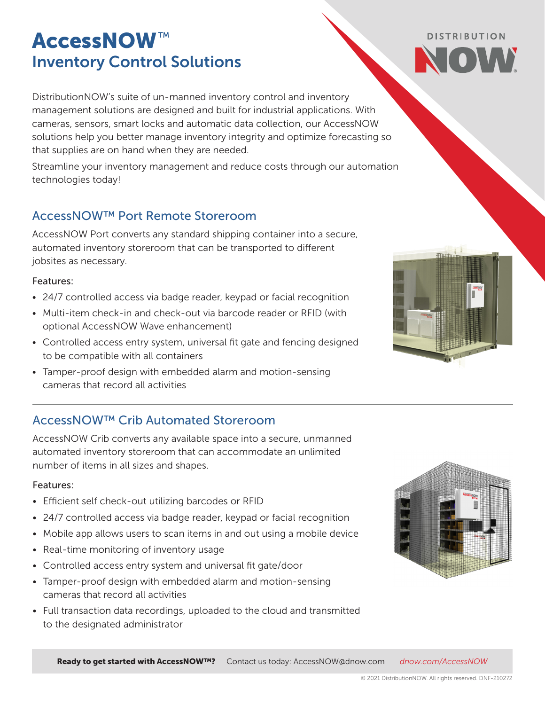# AccessNOW*™* Inventory Control Solutions

DistributionNOW's suite of un-manned inventory control and inventory management solutions are designed and built for industrial applications. With cameras, sensors, smart locks and automatic data collection, our AccessNOW solutions help you better manage inventory integrity and optimize forecasting so that supplies are on hand when they are needed.

Streamline your inventory management and reduce costs through our automation technologies today!

## AccessNOW™ Port Remote Storeroom

AccessNOW Port converts any standard shipping container into a secure, automated inventory storeroom that can be transported to different jobsites as necessary.

#### Features:

- 24/7 controlled access via badge reader, keypad or facial recognition
- Multi-item check-in and check-out via barcode reader or RFID (with optional AccessNOW Wave enhancement)
- Controlled access entry system, universal fit gate and fencing designed to be compatible with all containers
- Tamper-proof design with embedded alarm and motion-sensing cameras that record all activities

## AccessNOW™ Crib Automated Storeroom

AccessNOW Crib converts any available space into a secure, unmanned automated inventory storeroom that can accommodate an unlimited number of items in all sizes and shapes.

#### Features:

- Efficient self check-out utilizing barcodes or RFID
- 24/7 controlled access via badge reader, keypad or facial recognition
- Mobile app allows users to scan items in and out using a mobile device
- Real-time monitoring of inventory usage
- Controlled access entry system and universal fit gate/door
- Tamper-proof design with embedded alarm and motion-sensing cameras that record all activities
- Full transaction data recordings, uploaded to the cloud and transmitted to the designated administrator